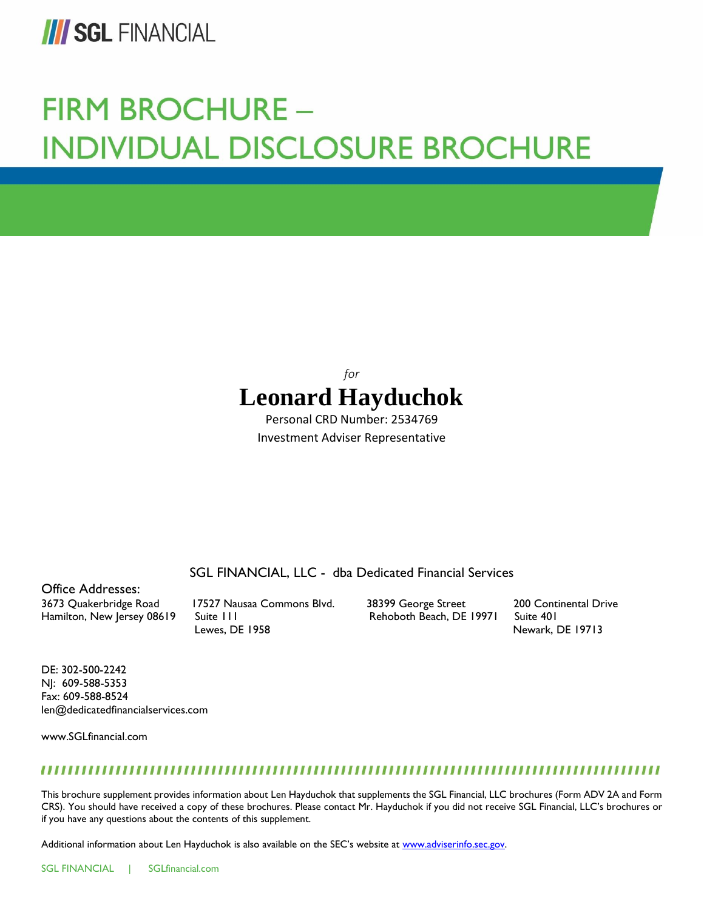

# **FIRM BROCHURE -INDIVIDUAL DISCLOSURE BROCHURE**

# *for* **Leonard Hayduchok**

Personal CRD Number: 2534769 Investment Adviser Representative

SGL FINANCIAL, LLC - dba Dedicated Financial Services

Office Addresses: 3673 Quakerbridge Road 17527 Nausaa Commons Blvd. 38399 George Street 200 Continental Drive Hamilton, New Jersey 08619 Suite 111 Suite 101 Rehoboth Beach, DE 19971 Suite 401

Lewes, DE 1958 Newark, DE 19713

DE: 302-500-2242 NJ: 609-588-5353 Fax: 609-588-8524 len@dedicatedfinancialservices.com

www.SGLfinancial.com

# 

This brochure supplement provides information about Len Hayduchok that supplements the SGL Financial, LLC brochures (Form ADV 2A and Form CRS). You should have received a copy of these brochures. Please contact Mr. Hayduchok if you did not receive SGL Financial, LLC's brochures or if you have any questions about the contents of this supplement.

Additional information about Len Hayduchok is also available on the SEC's website at [www.adviserinfo.sec.gov.](http://www.adviserinfo.sec.gov/)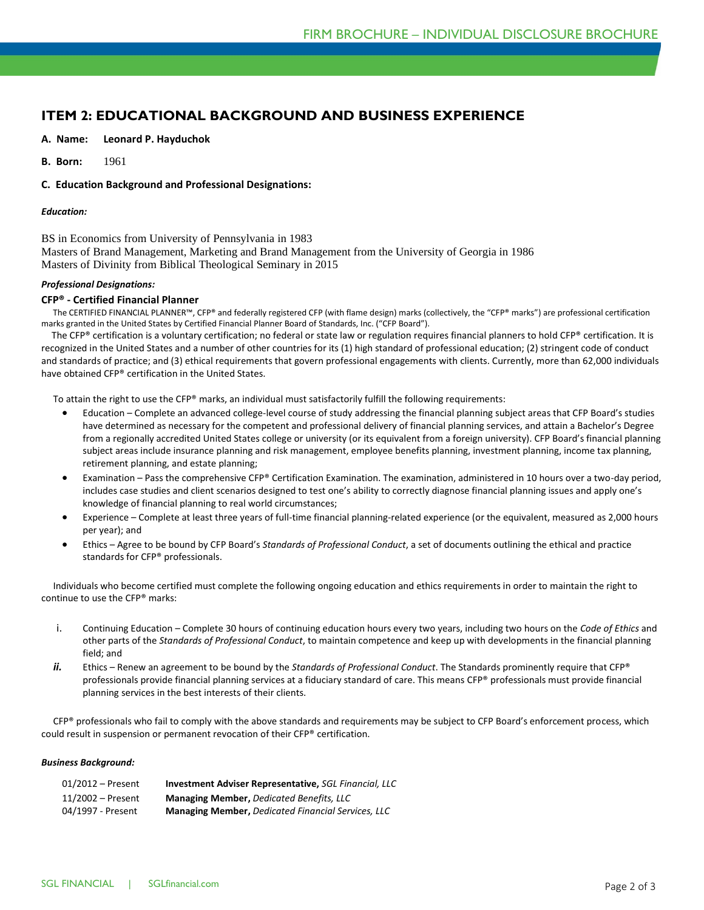# **ITEM 2: EDUCATIONAL BACKGROUND AND BUSINESS EXPERIENCE**

#### **A. Name: Leonard P. Hayduchok**

**B. Born:** 1961

#### **C. Education Background and Professional Designations:**

#### *Education:*

BS in Economics from University of Pennsylvania in 1983 Masters of Brand Management, Marketing and Brand Management from the University of Georgia in 1986 Masters of Divinity from Biblical Theological Seminary in 2015

#### *Professional Designations:*

#### **CFP® - Certified Financial Planner**

 The CERTIFIED FINANCIAL PLANNER™, CFP® and federally registered CFP (with flame design) marks (collectively, the "CFP® marks") are professional certification marks granted in the United States by Certified Financial Planner Board of Standards, Inc. ("CFP Board").

 The CFP® certification is a voluntary certification; no federal or state law or regulation requires financial planners to hold CFP® certification. It is recognized in the United States and a number of other countries for its (1) high standard of professional education; (2) stringent code of conduct and standards of practice; and (3) ethical requirements that govern professional engagements with clients. Currently, more than 62,000 individuals have obtained CFP® certification in the United States.

To attain the right to use the CFP® marks, an individual must satisfactorily fulfill the following requirements:

- Education Complete an advanced college-level course of study addressing the financial planning subject areas that CFP Board's studies have determined as necessary for the competent and professional delivery of financial planning services, and attain a Bachelor's Degree from a regionally accredited United States college or university (or its equivalent from a foreign university). CFP Board's financial planning subject areas include insurance planning and risk management, employee benefits planning, investment planning, income tax planning, retirement planning, and estate planning;
- Examination Pass the comprehensive CFP® Certification Examination. The examination, administered in 10 hours over a two-day period, includes case studies and client scenarios designed to test one's ability to correctly diagnose financial planning issues and apply one's knowledge of financial planning to real world circumstances;
- Experience Complete at least three years of full-time financial planning-related experience (or the equivalent, measured as 2,000 hours per year); and
- Ethics Agree to be bound by CFP Board's *Standards of Professional Conduct*, a set of documents outlining the ethical and practice standards for CFP® professionals.

 Individuals who become certified must complete the following ongoing education and ethics requirements in order to maintain the right to continue to use the CFP® marks:

- i. Continuing Education Complete 30 hours of continuing education hours every two years, including two hours on the *Code of Ethics* and other parts of the *Standards of Professional Conduct*, to maintain competence and keep up with developments in the financial planning field; and
- *ii.* Ethics Renew an agreement to be bound by the *Standards of Professional Conduct*. The Standards prominently require that CFP® professionals provide financial planning services at a fiduciary standard of care. This means CFP® professionals must provide financial planning services in the best interests of their clients.

CFP® professionals who fail to comply with the above standards and requirements may be subject to CFP Board's enforcement process, which could result in suspension or permanent revocation of their CFP® certification.

#### *Business Background:*

| 01/2012 – Present | <b>Investment Adviser Representative. SGL Financial, LLC</b> |
|-------------------|--------------------------------------------------------------|
| 11/2002 – Present | <b>Managing Member, Dedicated Benefits, LLC</b>              |
| 04/1997 - Present | <b>Managing Member, Dedicated Financial Services, LLC</b>    |